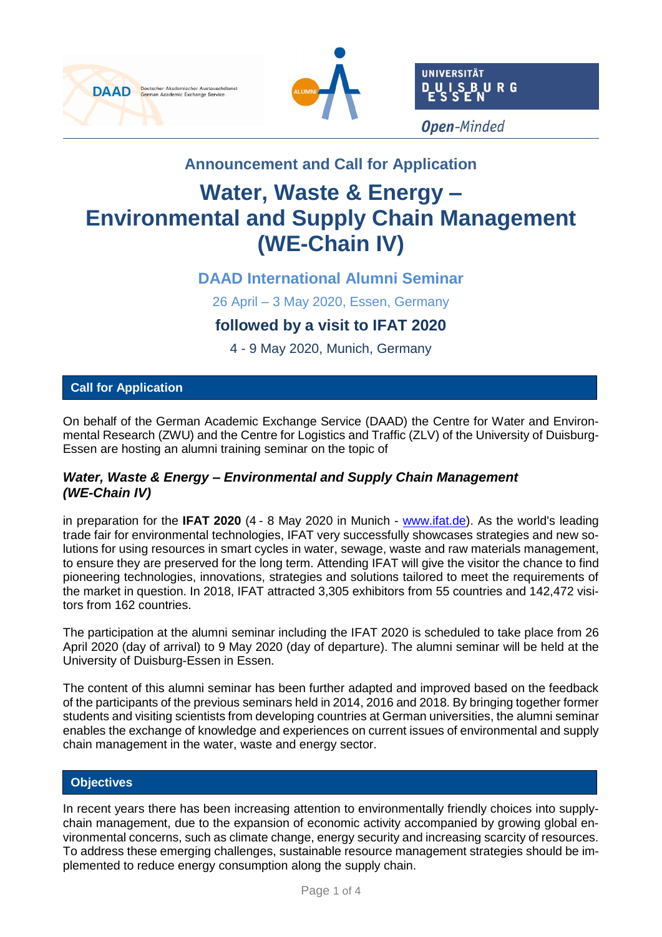





# **Announcement and Call for Application**

# **Water, Waste & Energy – Environmental and Supply Chain Management (WE-Chain IV)**

## **DAAD International Alumni Seminar**

26 April – 3 May 2020, Essen, Germany

## **followed by a visit to IFAT 2020**

4 - 9 May 2020, Munich, Germany

## **Call for Application**

On behalf of the German Academic Exchange Service (DAAD) the Centre for Water and Environmental Research (ZWU) and the Centre for Logistics and Traffic (ZLV) of the University of Duisburg-Essen are hosting an alumni training seminar on the topic of

### *Water, Waste & Energy – Environmental and Supply Chain Management (WE-Chain IV)*

in preparation for the **IFAT 2020** (4 - 8 May 2020 in Munich - [www.ifat.de\)](https://www.ifat.de/). As the world's leading trade fair for environmental technologies, IFAT very successfully showcases strategies and new solutions for using resources in smart cycles in water, sewage, waste and raw materials management, to ensure they are preserved for the long term. Attending IFAT will give the visitor the chance to find pioneering technologies, innovations, strategies and solutions tailored to meet the requirements of the market in question. In 2018, IFAT attracted 3,305 exhibitors from 55 countries and 142,472 visitors from 162 countries.

The participation at the alumni seminar including the IFAT 2020 is scheduled to take place from 26 April 2020 (day of arrival) to 9 May 2020 (day of departure). The alumni seminar will be held at the University of Duisburg-Essen in Essen.

The content of this alumni seminar has been further adapted and improved based on the feedback of the participants of the previous seminars held in 2014, 2016 and 2018. By bringing together former students and visiting scientists from developing countries at German universities, the alumni seminar enables the exchange of knowledge and experiences on current issues of environmental and supply chain management in the water, waste and energy sector.

#### **Objectives**

In recent years there has been increasing attention to environmentally friendly choices into supplychain management, due to the expansion of economic activity accompanied by growing global environmental concerns, such as climate change, energy security and increasing scarcity of resources. To address these emerging challenges, sustainable resource management strategies should be implemented to reduce energy consumption along the supply chain.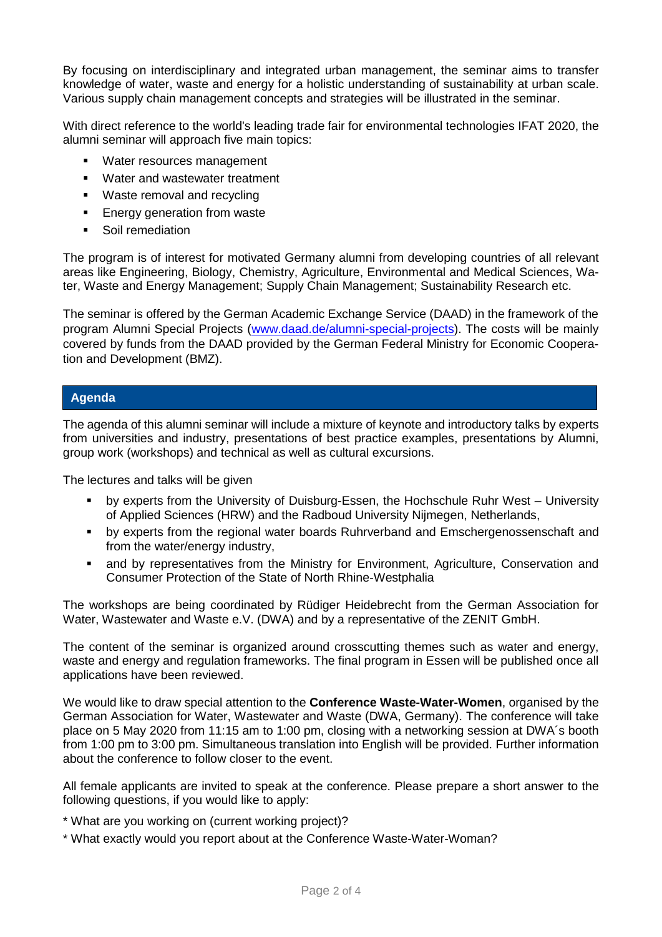By focusing on interdisciplinary and integrated urban management, the seminar aims to transfer knowledge of water, waste and energy for a holistic understanding of sustainability at urban scale. Various supply chain management concepts and strategies will be illustrated in the seminar.

With direct reference to the world's leading trade fair for environmental technologies IFAT 2020, the alumni seminar will approach five main topics:

- Water resources management
- Water and wastewater treatment
- Waste removal and recycling
- **Energy generation from waste**
- Soil remediation

The program is of interest for motivated Germany alumni from developing countries of all relevant areas like Engineering, Biology, Chemistry, Agriculture, Environmental and Medical Sciences, Water, Waste and Energy Management; Supply Chain Management; Sustainability Research etc.

The seminar is offered by the German Academic Exchange Service (DAAD) in the framework of the program Alumni Special Projects [\(www.daad.de/alumni-special-projects\)](http://www.daad.de/alumni-special-projects). The costs will be mainly covered by funds from the DAAD provided by the German Federal Ministry for Economic Cooperation and Development (BMZ).

#### **Agenda**

The agenda of this alumni seminar will include a mixture of keynote and introductory talks by experts from universities and industry, presentations of best practice examples, presentations by Alumni, group work (workshops) and technical as well as cultural excursions.

The lectures and talks will be given

- by experts from the University of Duisburg-Essen, the Hochschule Ruhr West University of Applied Sciences (HRW) and the Radboud University Nijmegen, Netherlands,
- by experts from the regional water boards Ruhrverband and Emschergenossenschaft and from the water/energy industry,
- **■** and by representatives from the Ministry for Environment, Agriculture, Conservation and Consumer Protection of the State of North Rhine-Westphalia

The workshops are being coordinated by Rüdiger Heidebrecht from the German Association for Water, Wastewater and Waste e.V. (DWA) and by a representative of the ZENIT GmbH.

The content of the seminar is organized around crosscutting themes such as water and energy, waste and energy and regulation frameworks. The final program in Essen will be published once all applications have been reviewed.

We would like to draw special attention to the **Conference Waste-Water-Women**, organised by the German Association for Water, Wastewater and Waste (DWA, Germany). The conference will take place on 5 May 2020 from 11:15 am to 1:00 pm, closing with a networking session at DWA´s booth from 1:00 pm to 3:00 pm. Simultaneous translation into English will be provided. Further information about the conference to follow closer to the event.

All female applicants are invited to speak at the conference. Please prepare a short answer to the following questions, if you would like to apply:

- \* What are you working on (current working project)?
- \* What exactly would you report about at the Conference Waste-Water-Woman?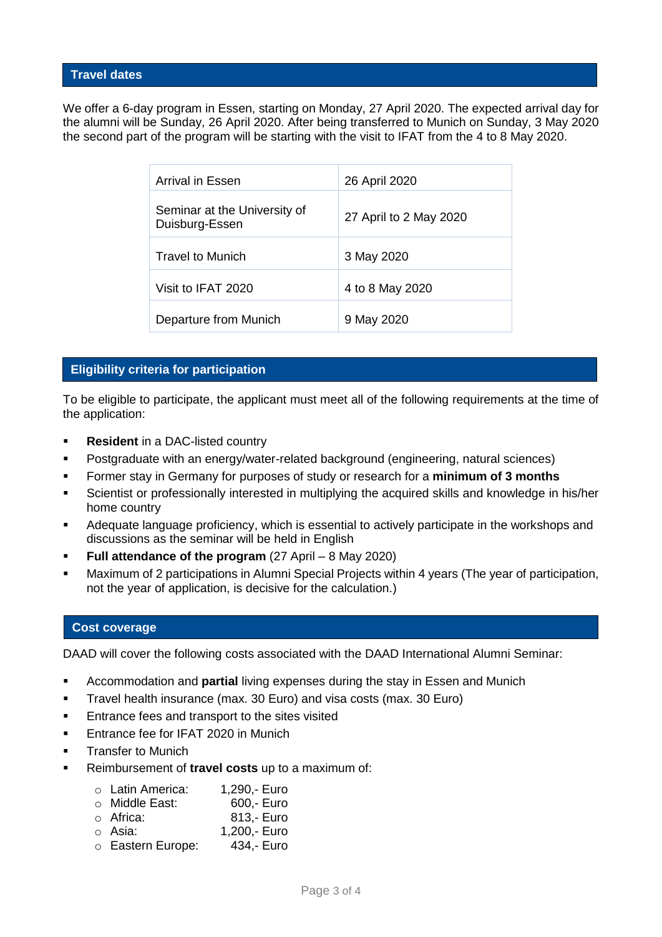#### **Travel dates**

We offer a 6-day program in Essen, starting on Monday, 27 April 2020. The expected arrival day for the alumni will be Sunday, 26 April 2020. After being transferred to Munich on Sunday, 3 May 2020 the second part of the program will be starting with the visit to IFAT from the 4 to 8 May 2020.

| Arrival in Essen                               | 26 April 2020          |
|------------------------------------------------|------------------------|
| Seminar at the University of<br>Duisburg-Essen | 27 April to 2 May 2020 |
| <b>Travel to Munich</b>                        | 3 May 2020             |
| Visit to IFAT 2020                             | 4 to 8 May 2020        |
| Departure from Munich                          | 9 May 2020             |

#### **Eligibility criteria for participation**

To be eligible to participate, the applicant must meet all of the following requirements at the time of the application:

- **Resident** in a DAC-listed country
- Postgraduate with an energy/water-related background (engineering, natural sciences)
- Former stay in Germany for purposes of study or research for a **minimum of 3 months**
- Scientist or professionally interested in multiplying the acquired skills and knowledge in his/her home country
- Adequate language proficiency, which is essential to actively participate in the workshops and discussions as the seminar will be held in English
- **Full attendance of the program** (27 April 8 May 2020)
- **■** Maximum of 2 participations in Alumni Special Projects within 4 years (The year of participation, not the year of application, is decisive for the calculation.)

#### **Cost coverage**

DAAD will cover the following costs associated with the DAAD International Alumni Seminar:

- Accommodation and **partial** living expenses during the stay in Essen and Munich
- **E** Travel health insurance (max. 30 Euro) and visa costs (max. 30 Euro)
- Entrance fees and transport to the sites visited
- **Entrance fee for IFAT 2020 in Munich**
- **■** Transfer to Munich
- Reimbursement of **travel costs** up to a maximum of:

|  | ○ Latin America: | 1,290,- Euro |
|--|------------------|--------------|
|--|------------------|--------------|

- o Middle East: 600,- Euro
- o Africa: 813,- Euro
- o Asia: 1,200,- Euro
- o Eastern Europe: 434,- Euro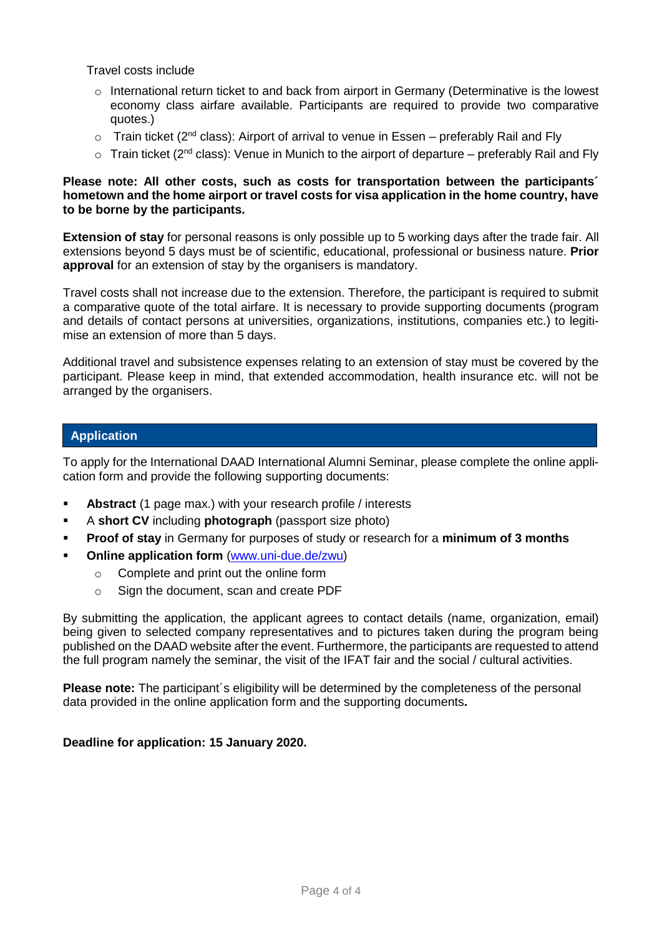Travel costs include

- o International return ticket to and back from airport in Germany (Determinative is the lowest economy class airfare available. Participants are required to provide two comparative quotes.)
- $\circ$  Train ticket (2<sup>nd</sup> class): Airport of arrival to venue in Essen preferably Rail and Fly
- $\circ$  Train ticket (2<sup>nd</sup> class): Venue in Munich to the airport of departure preferably Rail and Fly

#### **Please note: All other costs, such as costs for transportation between the participants´ hometown and the home airport or travel costs for visa application in the home country, have to be borne by the participants.**

**Extension of stay** for personal reasons is only possible up to 5 working days after the trade fair. All extensions beyond 5 days must be of scientific, educational, professional or business nature. **Prior approval** for an extension of stay by the organisers is mandatory.

Travel costs shall not increase due to the extension. Therefore, the participant is required to submit a comparative quote of the total airfare. It is necessary to provide supporting documents (program and details of contact persons at universities, organizations, institutions, companies etc.) to legitimise an extension of more than 5 days.

Additional travel and subsistence expenses relating to an extension of stay must be covered by the participant. Please keep in mind, that extended accommodation, health insurance etc. will not be arranged by the organisers.

#### **Application**

To apply for the International DAAD International Alumni Seminar, please complete the online application form and provide the following supporting documents:

- **Abstract** (1 page max.) with your research profile / interests
- A **short CV** including **photograph** (passport size photo)
- **Proof of stay** in Germany for purposes of study or research for a **minimum of 3 months**
- **Online application form** [\(www.uni-due.de/zwu\)](https://www.uni-due.de/zwu/daad_alumni_seminar_2020.php)
	- o Complete and print out the online form
	- o Sign the document, scan and create PDF

By submitting the application, the applicant agrees to contact details (name, organization, email) being given to selected company representatives and to pictures taken during the program being published on the DAAD website after the event. Furthermore, the participants are requested to attend the full program namely the seminar, the visit of the IFAT fair and the social / cultural activities.

**Please note:** The participant´s eligibility will be determined by the completeness of the personal data provided in the online application form and the supporting documents**.**

#### **Deadline for application: 15 January 2020.**